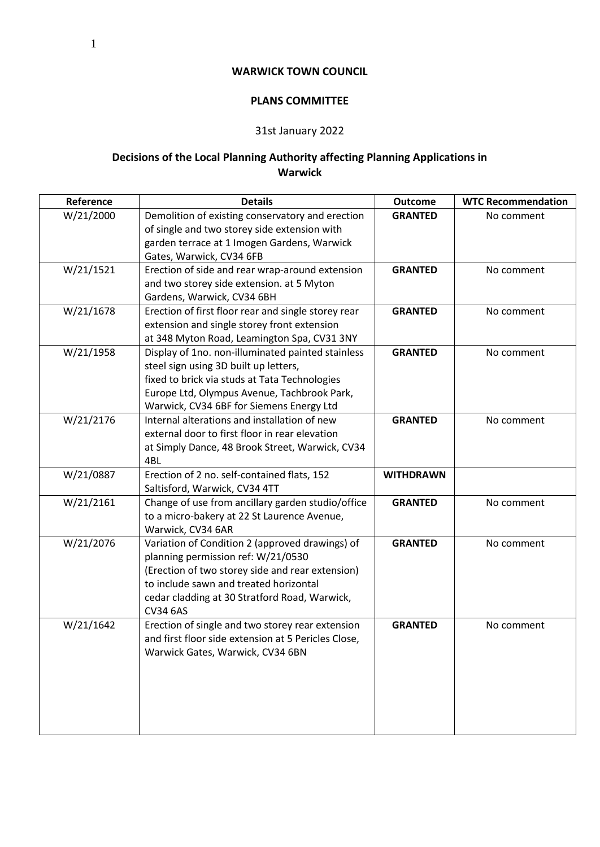## **WARWICK TOWN COUNCIL**

## **PLANS COMMITTEE**

## 31st January 2022

## **Decisions of the Local Planning Authority affecting Planning Applications in Warwick**

| Reference | <b>Details</b>                                                                                                                                                                                                                                          | <b>Outcome</b>   | <b>WTC Recommendation</b> |
|-----------|---------------------------------------------------------------------------------------------------------------------------------------------------------------------------------------------------------------------------------------------------------|------------------|---------------------------|
| W/21/2000 | Demolition of existing conservatory and erection<br>of single and two storey side extension with<br>garden terrace at 1 Imogen Gardens, Warwick<br>Gates, Warwick, CV34 6FB                                                                             | <b>GRANTED</b>   | No comment                |
| W/21/1521 | Erection of side and rear wrap-around extension<br>and two storey side extension. at 5 Myton<br>Gardens, Warwick, CV34 6BH                                                                                                                              | <b>GRANTED</b>   | No comment                |
| W/21/1678 | Erection of first floor rear and single storey rear<br>extension and single storey front extension<br>at 348 Myton Road, Leamington Spa, CV31 3NY                                                                                                       | <b>GRANTED</b>   | No comment                |
| W/21/1958 | Display of 1no. non-illuminated painted stainless<br>steel sign using 3D built up letters,<br>fixed to brick via studs at Tata Technologies<br>Europe Ltd, Olympus Avenue, Tachbrook Park,<br>Warwick, CV34 6BF for Siemens Energy Ltd                  | <b>GRANTED</b>   | No comment                |
| W/21/2176 | Internal alterations and installation of new<br>external door to first floor in rear elevation<br>at Simply Dance, 48 Brook Street, Warwick, CV34<br>4BL                                                                                                | <b>GRANTED</b>   | No comment                |
| W/21/0887 | Erection of 2 no. self-contained flats, 152<br>Saltisford, Warwick, CV34 4TT                                                                                                                                                                            | <b>WITHDRAWN</b> |                           |
| W/21/2161 | Change of use from ancillary garden studio/office<br>to a micro-bakery at 22 St Laurence Avenue,<br>Warwick, CV34 6AR                                                                                                                                   | <b>GRANTED</b>   | No comment                |
| W/21/2076 | Variation of Condition 2 (approved drawings) of<br>planning permission ref: W/21/0530<br>(Erection of two storey side and rear extension)<br>to include sawn and treated horizontal<br>cedar cladding at 30 Stratford Road, Warwick,<br><b>CV34 6AS</b> | <b>GRANTED</b>   | No comment                |
| W/21/1642 | Erection of single and two storey rear extension<br>and first floor side extension at 5 Pericles Close,<br>Warwick Gates, Warwick, CV34 6BN                                                                                                             | <b>GRANTED</b>   | No comment                |